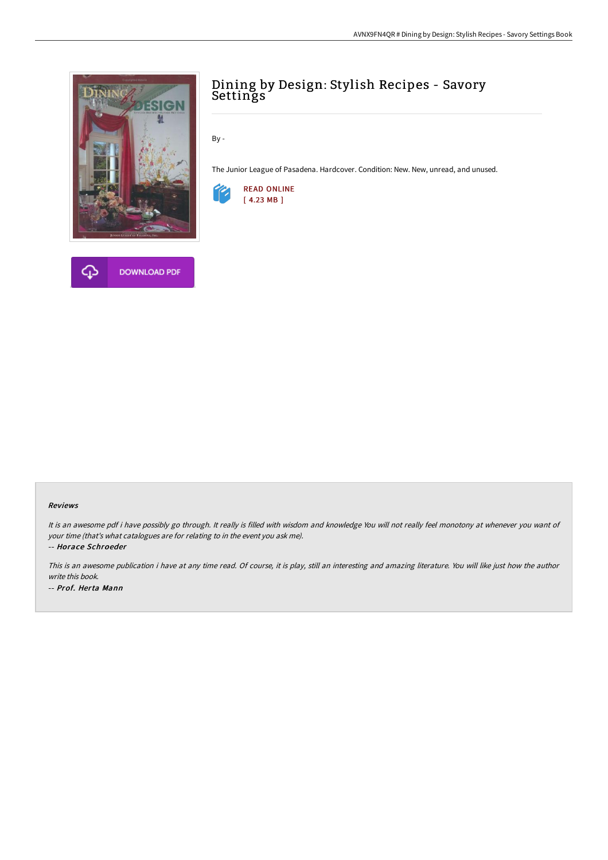



# Dining by Design: Stylish Recipes - Savory Settings

By -

The Junior League of Pasadena. Hardcover. Condition: New. New, unread, and unused.



#### Reviews

It is an awesome pdf i have possibly go through. It really is filled with wisdom and knowledge You will not really feel monotony at whenever you want of your time (that's what catalogues are for relating to in the event you ask me).

-- Horace Schroeder

This is an awesome publication i have at any time read. Of course, it is play, still an interesting and amazing literature. You will like just how the author write this book. -- Prof. Herta Mann